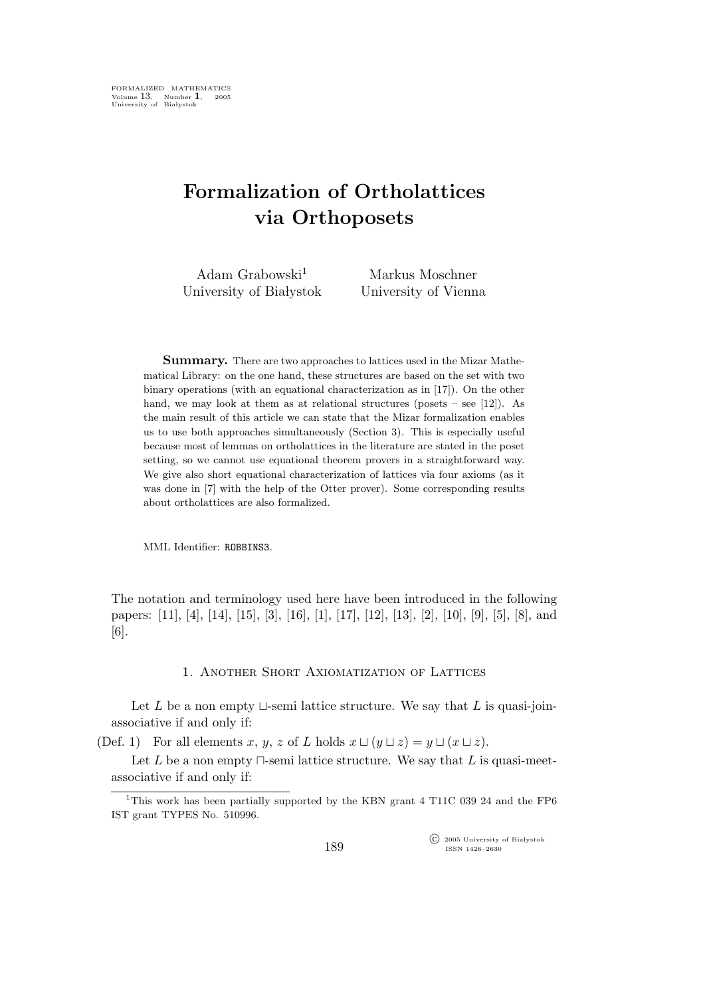# Formalization of Ortholattices via Orthoposets

| Adam Grabowski <sup>1</sup> | Markus Moschner      |
|-----------------------------|----------------------|
| University of Białystok     | University of Vienna |

Summary. There are two approaches to lattices used in the Mizar Mathematical Library: on the one hand, these structures are based on the set with two binary operations (with an equational characterization as in [17]). On the other hand, we may look at them as at relational structures (posets – see [12]). As the main result of this article we can state that the Mizar formalization enables us to use both approaches simultaneously (Section 3). This is especially useful because most of lemmas on ortholattices in the literature are stated in the poset setting, so we cannot use equational theorem provers in a straightforward way. We give also short equational characterization of lattices via four axioms (as it was done in [7] with the help of the Otter prover). Some corresponding results about ortholattices are also formalized.

MML Identifier: ROBBINS3.

The notation and terminology used here have been introduced in the following papers: [11], [4], [14], [15], [3], [16], [1], [17], [12], [13], [2], [10], [9], [5], [8], and [6].

### 1. Another Short Axiomatization of Lattices

Let L be a non empty  $\sqcup$ -semi lattice structure. We say that L is quasi-joinassociative if and only if:

(Def. 1) For all elements x, y, z of L holds  $x \sqcup (y \sqcup z) = y \sqcup (x \sqcup z)$ .

Let L be a non empty  $\Box$ -semi lattice structure. We say that L is quasi-meetassociative if and only if:

 $\widehat{\mathbb{C}}$  2005 University of Białystok ISSN 1426–2630

<sup>&</sup>lt;sup>1</sup>This work has been partially supported by the KBN grant 4 T11C 039 24 and the FP6 IST grant TYPES No. 510996.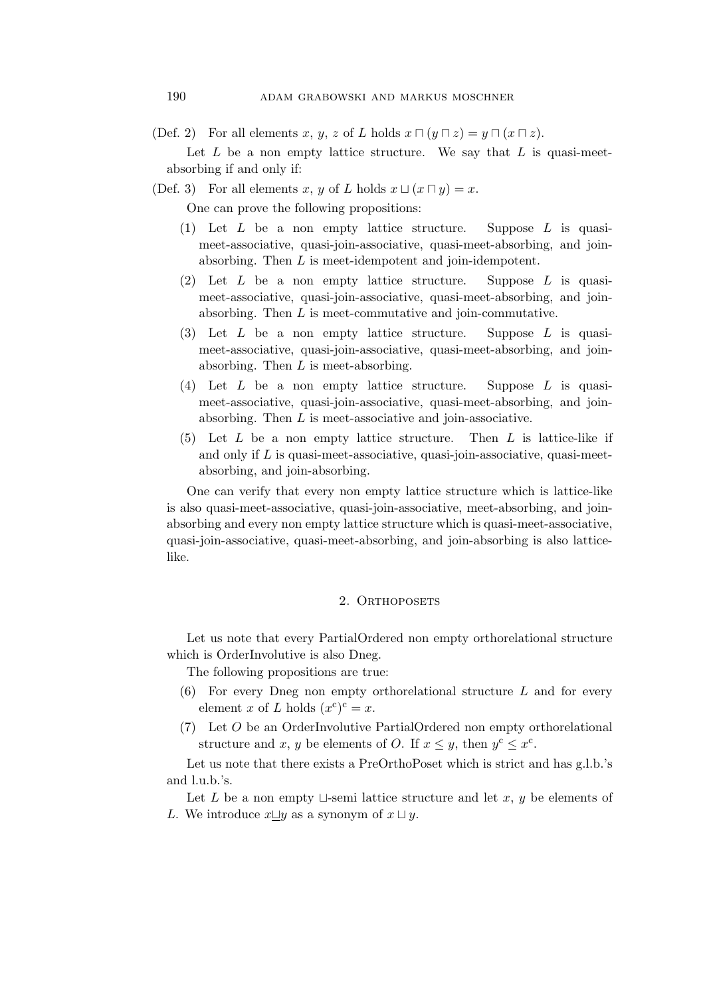(Def. 2) For all elements x, y, z of L holds  $x \sqcap (y \sqcap z) = y \sqcap (x \sqcap z)$ .

Let  $L$  be a non empty lattice structure. We say that  $L$  is quasi-meetabsorbing if and only if:

(Def. 3) For all elements x, y of L holds  $x \sqcup (x \sqcap y) = x$ .

One can prove the following propositions:

- (1) Let  $L$  be a non empty lattice structure. Suppose  $L$  is quasimeet-associative, quasi-join-associative, quasi-meet-absorbing, and joinabsorbing. Then L is meet-idempotent and join-idempotent.
- (2) Let  $L$  be a non empty lattice structure. Suppose  $L$  is quasimeet-associative, quasi-join-associative, quasi-meet-absorbing, and joinabsorbing. Then L is meet-commutative and join-commutative.
- (3) Let  $L$  be a non empty lattice structure. Suppose  $L$  is quasimeet-associative, quasi-join-associative, quasi-meet-absorbing, and joinabsorbing. Then  $L$  is meet-absorbing.
- (4) Let L be a non empty lattice structure. Suppose L is quasimeet-associative, quasi-join-associative, quasi-meet-absorbing, and joinabsorbing. Then L is meet-associative and join-associative.
- (5) Let  $L$  be a non empty lattice structure. Then  $L$  is lattice-like if and only if  $L$  is quasi-meet-associative, quasi-join-associative, quasi-meetabsorbing, and join-absorbing.

One can verify that every non empty lattice structure which is lattice-like is also quasi-meet-associative, quasi-join-associative, meet-absorbing, and joinabsorbing and every non empty lattice structure which is quasi-meet-associative, quasi-join-associative, quasi-meet-absorbing, and join-absorbing is also latticelike.

## 2. ORTHOPOSETS

Let us note that every PartialOrdered non empty orthorelational structure which is OrderInvolutive is also Dneg.

The following propositions are true:

- (6) For every Dneg non empty orthorelational structure L and for every element x of L holds  $(x^c)^c = x$ .
- (7) Let O be an OrderInvolutive PartialOrdered non empty orthorelational structure and x, y be elements of O. If  $x \leq y$ , then  $y^c \leq x^c$ .

Let us note that there exists a PreOrthoPoset which is strict and has g.l.b.'s and l.u.b.'s.

Let L be a non empty  $\Box$ -semi lattice structure and let x, y be elements of L. We introduce  $x \sqcup y$  as a synonym of  $x \sqcup y$ .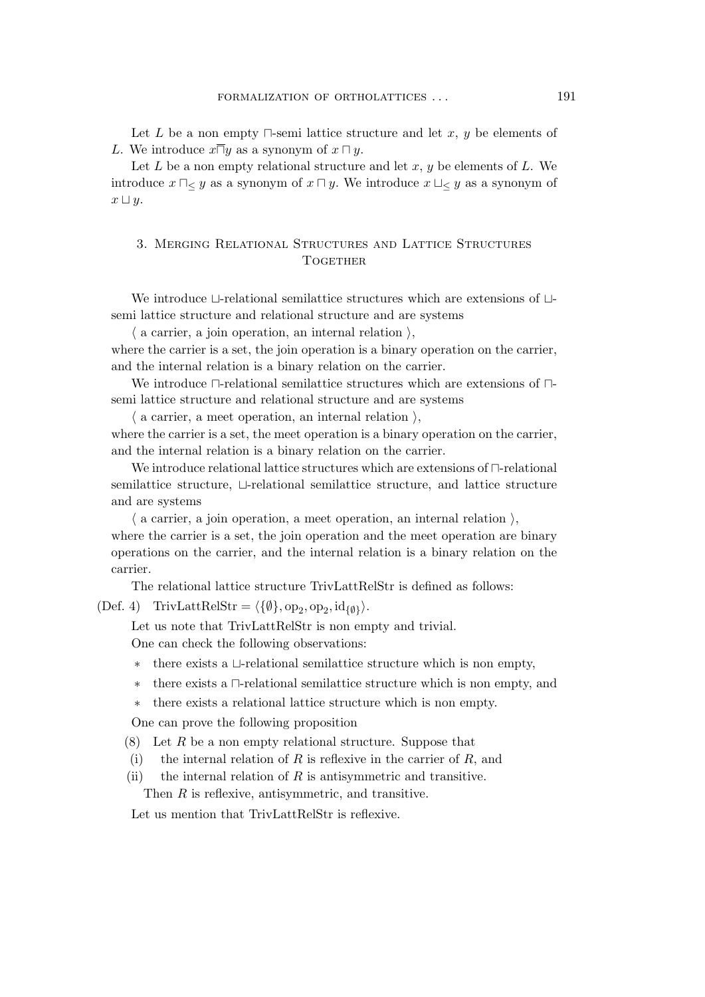Let L be a non empty  $\Box$ -semi lattice structure and let x, y be elements of L. We introduce  $x\overline{\sqcap}y$  as a synonym of  $x\sqcap y$ .

Let  $L$  be a non empty relational structure and let  $x, y$  be elements of  $L$ . We introduce  $x \sqcap_{\leq} y$  as a synonym of  $x \sqcap y$ . We introduce  $x \sqcup_{\leq} y$  as a synonym of  $x \sqcup y$ .

## 3. Merging Relational Structures and Lattice Structures TOGETHER

We introduce ⊔-relational semilattice structures which are extensions of ⊔ semi lattice structure and relational structure and are systems

 $\langle$  a carrier, a join operation, an internal relation  $\rangle$ ,

where the carrier is a set, the join operation is a binary operation on the carrier, and the internal relation is a binary relation on the carrier.

We introduce ⊓-relational semilattice structures which are extensions of ⊓ semi lattice structure and relational structure and are systems

 $\langle$  a carrier, a meet operation, an internal relation  $\rangle$ , where the carrier is a set, the meet operation is a binary operation on the carrier, and the internal relation is a binary relation on the carrier.

We introduce relational lattice structures which are extensions of ⊓-relational semilattice structure, ⊔-relational semilattice structure, and lattice structure and are systems

 $\langle$  a carrier, a join operation, a meet operation, an internal relation  $\rangle$ , where the carrier is a set, the join operation and the meet operation are binary operations on the carrier, and the internal relation is a binary relation on the carrier.

The relational lattice structure TrivLattRelStr is defined as follows:

(Def. 4) TrivLattRelStr =  $\langle \{\emptyset\}, \text{op}_2, \text{op}_2, \text{id}_{\{\emptyset\}} \rangle$ .

Let us note that TrivLattRelStr is non empty and trivial.

One can check the following observations:

- there exists a  $\sqcup$ -relational semilattice structure which is non empty,
- ∗ there exists a ⊓-relational semilattice structure which is non empty, and
- ∗ there exists a relational lattice structure which is non empty.

One can prove the following proposition

- $(8)$  Let R be a non empty relational structure. Suppose that
- (i) the internal relation of R is reflexive in the carrier of R, and
- (ii) the internal relation of  $R$  is antisymmetric and transitive.

Then R is reflexive, antisymmetric, and transitive.

Let us mention that TrivLattRelStr is reflexive.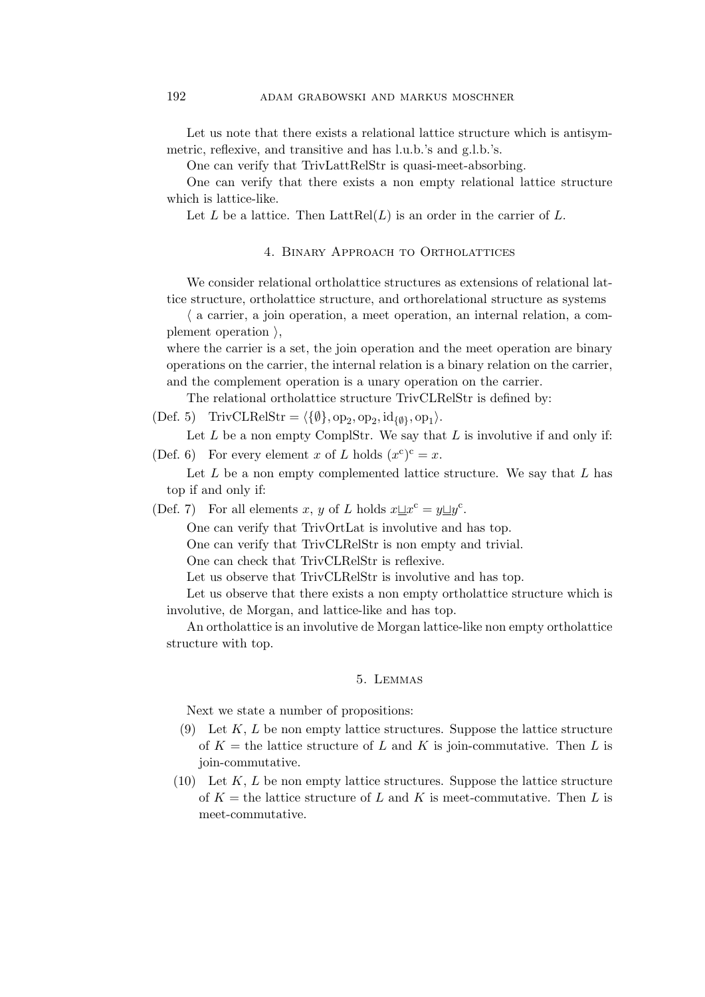Let us note that there exists a relational lattice structure which is antisymmetric, reflexive, and transitive and has l.u.b.'s and g.l.b.'s.

One can verify that TrivLattRelStr is quasi-meet-absorbing.

One can verify that there exists a non empty relational lattice structure which is lattice-like.

Let L be a lattice. Then  $L$ att $Rel(L)$  is an order in the carrier of L.

#### 4. Binary Approach to Ortholattices

We consider relational ortholattice structures as extensions of relational lattice structure, ortholattice structure, and orthorelational structure as systems

 $\langle$  a carrier, a join operation, a meet operation, an internal relation, a complement operation  $\lambda$ .

where the carrier is a set, the join operation and the meet operation are binary operations on the carrier, the internal relation is a binary relation on the carrier, and the complement operation is a unary operation on the carrier.

The relational ortholattice structure TrivCLRelStr is defined by:

(Def. 5) TrivCLRelStr =  $\langle \{\emptyset\}, \text{op}_2, \text{op}_2, \text{id}_{\{\emptyset\}}, \text{op}_1 \rangle$ .

Let  $L$  be a non empty ComplStr. We say that  $L$  is involutive if and only if: (Def. 6) For every element x of L holds  $(x^c)^c = x$ .

Let  $L$  be a non empty complemented lattice structure. We say that  $L$  has top if and only if:

(Def. 7) For all elements x, y of L holds  $x \perp x^c = y \perp y^c$ .

One can verify that TrivOrtLat is involutive and has top.

One can verify that TrivCLRelStr is non empty and trivial.

One can check that TrivCLRelStr is reflexive.

Let us observe that TrivCLRelStr is involutive and has top.

Let us observe that there exists a non empty ortholattice structure which is involutive, de Morgan, and lattice-like and has top.

An ortholattice is an involutive de Morgan lattice-like non empty ortholattice structure with top.

#### 5. Lemmas

Next we state a number of propositions:

- (9) Let  $K, L$  be non empty lattice structures. Suppose the lattice structure of  $K =$  the lattice structure of L and K is join-commutative. Then L is join-commutative.
- $(10)$  Let K, L be non empty lattice structures. Suppose the lattice structure of  $K =$  the lattice structure of L and K is meet-commutative. Then L is meet-commutative.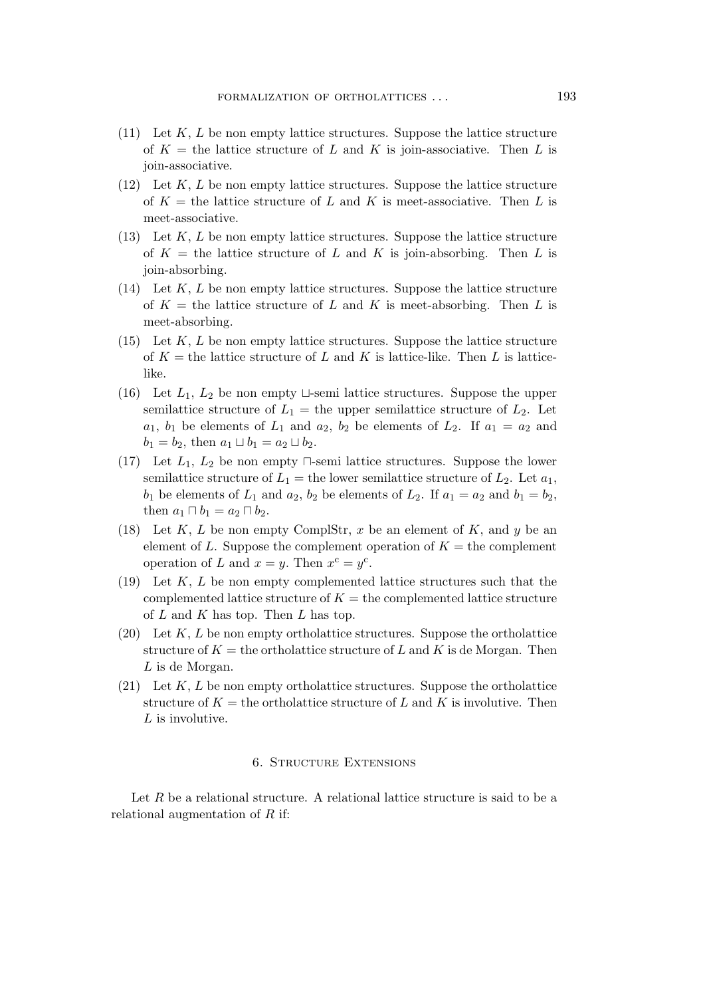- $(11)$  Let K, L be non empty lattice structures. Suppose the lattice structure of  $K =$  the lattice structure of L and K is join-associative. Then L is join-associative.
- $(12)$  Let K, L be non empty lattice structures. Suppose the lattice structure of  $K =$  the lattice structure of L and K is meet-associative. Then L is meet-associative.
- (13) Let  $K, L$  be non empty lattice structures. Suppose the lattice structure of  $K =$  the lattice structure of L and K is join-absorbing. Then L is join-absorbing.
- $(14)$  Let K, L be non empty lattice structures. Suppose the lattice structure of  $K =$  the lattice structure of L and K is meet-absorbing. Then L is meet-absorbing.
- $(15)$  Let K, L be non empty lattice structures. Suppose the lattice structure of  $K =$  the lattice structure of L and K is lattice-like. Then L is latticelike.
- (16) Let  $L_1$ ,  $L_2$  be non empty  $\sqcup$ -semi lattice structures. Suppose the upper semilattice structure of  $L_1 =$  the upper semilattice structure of  $L_2$ . Let  $a_1, b_1$  be elements of  $L_1$  and  $a_2, b_2$  be elements of  $L_2$ . If  $a_1 = a_2$  and  $b_1 = b_2$ , then  $a_1 \sqcup b_1 = a_2 \sqcup b_2$ .
- (17) Let  $L_1, L_2$  be non empty  $\Box$ -semi lattice structures. Suppose the lower semilattice structure of  $L_1$  = the lower semilattice structure of  $L_2$ . Let  $a_1$ ,  $b_1$  be elements of  $L_1$  and  $a_2$ ,  $b_2$  be elements of  $L_2$ . If  $a_1 = a_2$  and  $b_1 = b_2$ , then  $a_1 \sqcap b_1 = a_2 \sqcap b_2$ .
- (18) Let K, L be non empty ComplStr, x be an element of K, and y be an element of L. Suppose the complement operation of  $K =$  the complement operation of L and  $x = y$ . Then  $x^c = y^c$ .
- (19) Let  $K, L$  be non empty complemented lattice structures such that the complemented lattice structure of  $K =$  the complemented lattice structure of  $L$  and  $K$  has top. Then  $L$  has top.
- $(20)$  Let K, L be non empty ortholattice structures. Suppose the ortholattice structure of  $K =$  the ortholattice structure of L and K is de Morgan. Then L is de Morgan.
- $(21)$  Let K, L be non empty ortholattice structures. Suppose the ortholattice structure of  $K =$  the ortholattice structure of L and K is involutive. Then L is involutive.

### 6. Structure Extensions

Let R be a relational structure. A relational lattice structure is said to be a relational augmentation of R if: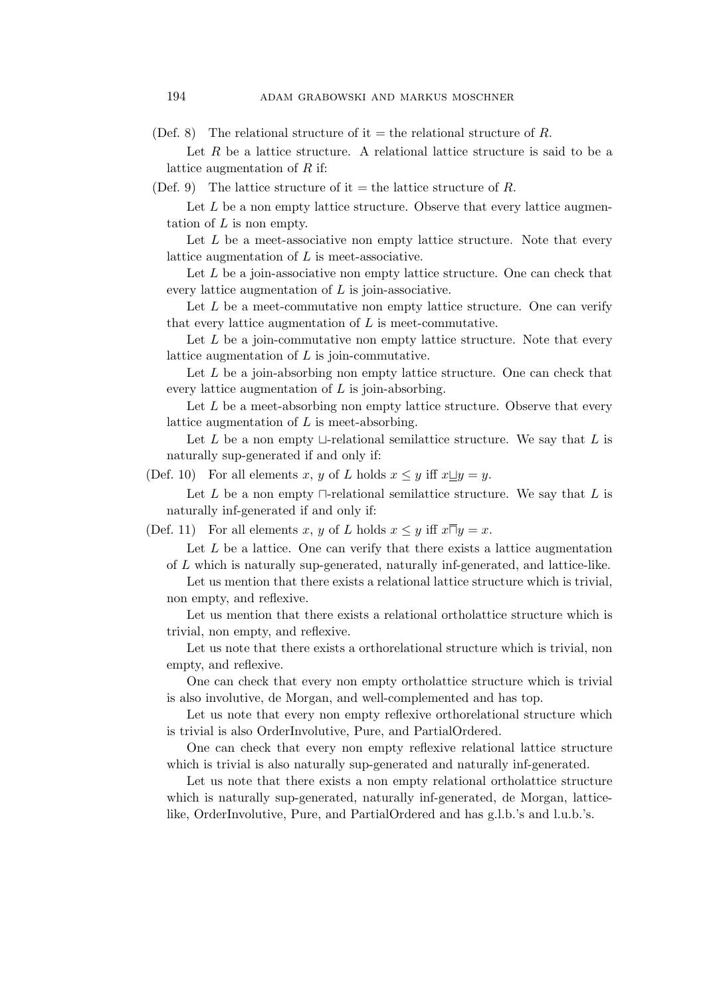(Def. 8) The relational structure of it = the relational structure of R.

Let  $R$  be a lattice structure. A relational lattice structure is said to be a lattice augmentation of  $R$  if:

(Def. 9) The lattice structure of it = the lattice structure of R.

Let  $L$  be a non empty lattice structure. Observe that every lattice augmentation of  $L$  is non empty.

Let  $L$  be a meet-associative non empty lattice structure. Note that every lattice augmentation of L is meet-associative.

Let  $L$  be a join-associative non empty lattice structure. One can check that every lattice augmentation of  $L$  is join-associative.

Let L be a meet-commutative non empty lattice structure. One can verify that every lattice augmentation of  $L$  is meet-commutative.

Let  $L$  be a join-commutative non empty lattice structure. Note that every lattice augmentation of  $L$  is join-commutative.

Let  $L$  be a join-absorbing non empty lattice structure. One can check that every lattice augmentation of  $L$  is join-absorbing.

Let  $L$  be a meet-absorbing non empty lattice structure. Observe that every lattice augmentation of  $L$  is meet-absorbing.

Let  $L$  be a non empty  $\sqcup$ -relational semilattice structure. We say that  $L$  is naturally sup-generated if and only if:

(Def. 10) For all elements x, y of L holds  $x \leq y$  iff  $x \sqcup y = y$ .

Let L be a non empty  $\Box$ -relational semilattice structure. We say that L is naturally inf-generated if and only if:

(Def. 11) For all elements x, y of L holds  $x \leq y$  iff  $x\overline{\sqcap}y = x$ .

Let  $L$  be a lattice. One can verify that there exists a lattice augmentation of L which is naturally sup-generated, naturally inf-generated, and lattice-like.

Let us mention that there exists a relational lattice structure which is trivial. non empty, and reflexive.

Let us mention that there exists a relational ortholattice structure which is trivial, non empty, and reflexive.

Let us note that there exists a orthorelational structure which is trivial, non empty, and reflexive.

One can check that every non empty ortholattice structure which is trivial is also involutive, de Morgan, and well-complemented and has top.

Let us note that every non empty reflexive orthorelational structure which is trivial is also OrderInvolutive, Pure, and PartialOrdered.

One can check that every non empty reflexive relational lattice structure which is trivial is also naturally sup-generated and naturally inf-generated.

Let us note that there exists a non empty relational ortholattice structure which is naturally sup-generated, naturally inf-generated, de Morgan, latticelike, OrderInvolutive, Pure, and PartialOrdered and has g.l.b.'s and l.u.b.'s.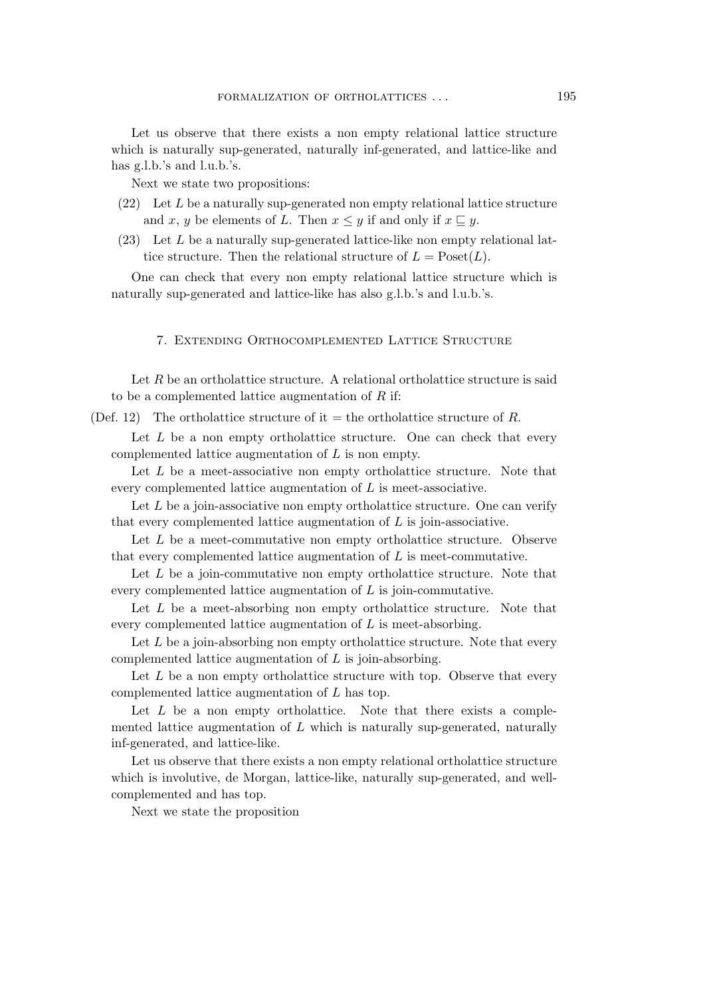Let us observe that there exists a non empty relational lattice structure which is naturally sup-generated, naturally inf-generated, and lattice-like and has g.l.b.'s and l.u.b.'s.

Next we state two propositions:

- $(22)$  Let L be a naturally sup-generated non empty relational lattice structure and x, y be elements of L. Then  $x \leq y$  if and only if  $x \sqsubseteq y$ .
- (23) Let L be a naturally sup-generated lattice-like non empty relational lattice structure. Then the relational structure of  $L = \text{Poset}(L)$ .

One can check that every non empty relational lattice structure which is naturally sup-generated and lattice-like has also g.l.b.'s and l.u.b.'s.

## 7. Extending Orthocomplemented Lattice Structure

Let  $R$  be an ortholattice structure. A relational ortholattice structure is said to be a complemented lattice augmentation of  $R$  if:

(Def. 12) The ortholattice structure of it = the ortholattice structure of R.

Let  $L$  be a non empty ortholattice structure. One can check that every complemented lattice augmentation of L is non empty.

Let L be a meet-associative non empty ortholattice structure. Note that every complemented lattice augmentation of L is meet-associative.

Let  $L$  be a join-associative non empty ortholattice structure. One can verify that every complemented lattice augmentation of  $L$  is join-associative.

Let L be a meet-commutative non empty ortholattice structure. Observe that every complemented lattice augmentation of L is meet-commutative.

Let  $L$  be a join-commutative non empty ortholattice structure. Note that every complemented lattice augmentation of L is join-commutative.

Let L be a meet-absorbing non empty ortholattice structure. Note that every complemented lattice augmentation of L is meet-absorbing.

Let  $L$  be a join-absorbing non empty ortholattice structure. Note that every complemented lattice augmentation of L is join-absorbing.

Let  $L$  be a non empty ortholattice structure with top. Observe that every complemented lattice augmentation of L has top.

Let  $L$  be a non empty ortholattice. Note that there exists a complemented lattice augmentation of  $L$  which is naturally sup-generated, naturally inf-generated, and lattice-like.

Let us observe that there exists a non empty relational ortholattice structure which is involutive, de Morgan, lattice-like, naturally sup-generated, and wellcomplemented and has top.

Next we state the proposition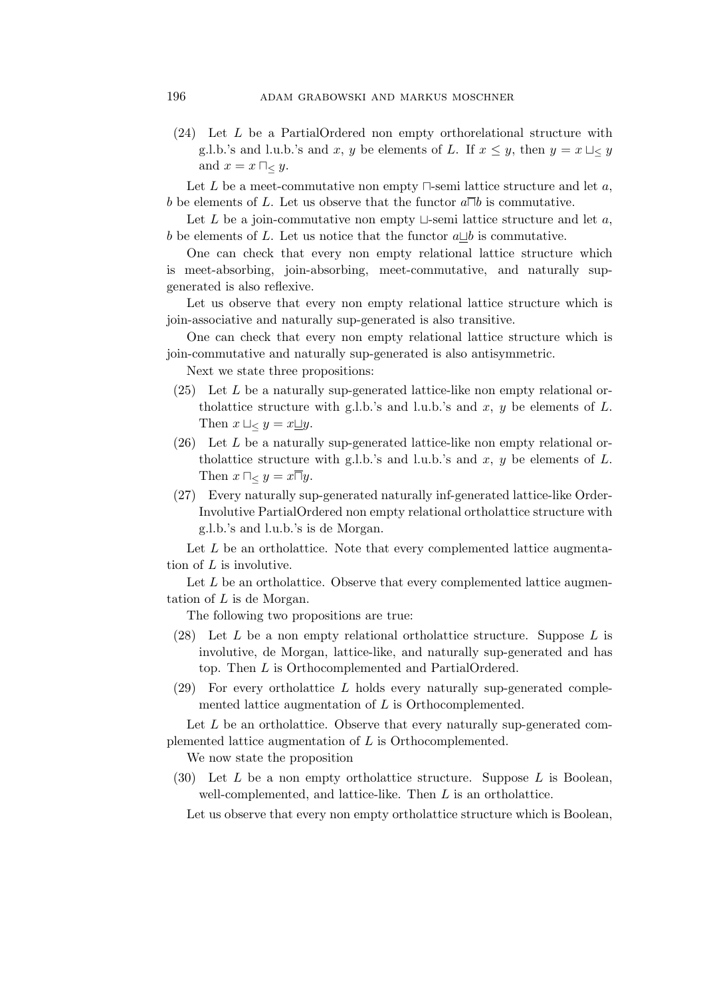(24) Let L be a PartialOrdered non empty orthorelational structure with g.l.b.'s and l.u.b.'s and x, y be elements of L. If  $x \leq y$ , then  $y = x \sqcup \leq y$ and  $x = x \sqcap_{\leq} y$ .

Let L be a meet-commutative non empty  $\Box$ -semi lattice structure and let a, b be elements of L. Let us observe that the functor  $a\overline{\Box}b$  is commutative.

Let L be a join-commutative non empty  $\sqcup$ -semi lattice structure and let a, b be elements of L. Let us notice that the functor  $a\Box b$  is commutative.

One can check that every non empty relational lattice structure which is meet-absorbing, join-absorbing, meet-commutative, and naturally supgenerated is also reflexive.

Let us observe that every non empty relational lattice structure which is join-associative and naturally sup-generated is also transitive.

One can check that every non empty relational lattice structure which is join-commutative and naturally sup-generated is also antisymmetric.

Next we state three propositions:

- $(25)$  Let L be a naturally sup-generated lattice-like non empty relational ortholattice structure with g.l.b.'s and l.u.b.'s and  $x, y$  be elements of  $L$ . Then  $x \sqcup \lt y = x \sqcup y$ .
- $(26)$  Let L be a naturally sup-generated lattice-like non empty relational ortholattice structure with g.l.b.'s and l.u.b.'s and  $x, y$  be elements of  $L$ . Then  $x \sqcap_{< y = x \sqcap y$ .
- (27) Every naturally sup-generated naturally inf-generated lattice-like Order-Involutive PartialOrdered non empty relational ortholattice structure with g.l.b.'s and l.u.b.'s is de Morgan.

Let  $L$  be an ortholattice. Note that every complemented lattice augmentation of  $L$  is involutive.

Let  $L$  be an ortholattice. Observe that every complemented lattice augmentation of L is de Morgan.

The following two propositions are true:

- (28) Let  $L$  be a non empty relational ortholattice structure. Suppose  $L$  is involutive, de Morgan, lattice-like, and naturally sup-generated and has top. Then L is Orthocomplemented and PartialOrdered.
- (29) For every ortholattice L holds every naturally sup-generated complemented lattice augmentation of L is Orthocomplemented.

Let  $L$  be an ortholattice. Observe that every naturally sup-generated complemented lattice augmentation of L is Orthocomplemented.

We now state the proposition

(30) Let  $L$  be a non empty ortholattice structure. Suppose  $L$  is Boolean, well-complemented, and lattice-like. Then L is an ortholattice.

Let us observe that every non empty ortholattice structure which is Boolean,